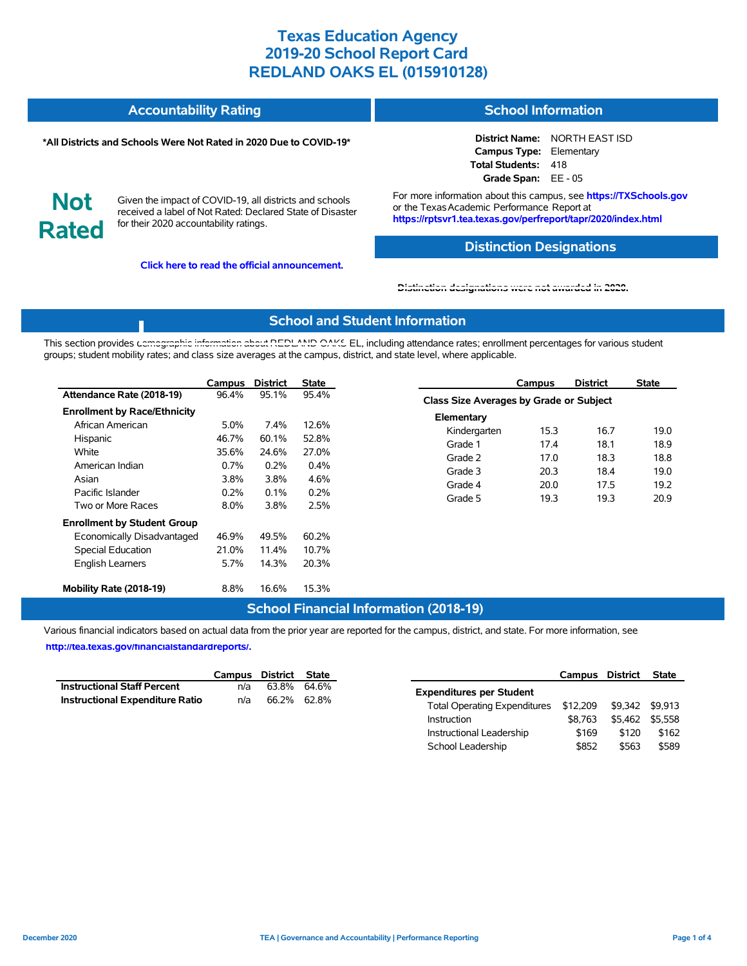| <b>Accountability Rating</b> | School Information |
|------------------------------|--------------------|
|                              |                    |

#### **\*All Districts and Schools Were Not Rated in 2020 Due to COVID-19\***

**District Name:** NORTH EAST ISD **Campus Type:** Elementary **Total Students:** 418 **Grade Span:** EE - 05

**Not Rated**

Given the impact of COVID-19, all districts and schools received a label of Not Rated: Declared State of Disaster for their 2020 accountability ratings.

**Click here to read the official announcement.**

For more information about this campus, see **https://TXSchools.gov** or the Texas Academic Performance Report at **https://rptsvr1.tea.texas.gov/perfreport/tapr/2020/index.html**

### **Distinction Designations**

Instructional Leadership  $$169$  \$120 \$162 School Leadership  $$852$  \$563 \$589

**[Distinction designations were not awarded in 2020.](https://rptsvr1.tea.texas.gov/perfreport/tapr/2020/index.html)**

#### **School and Student Information**

This section provides [demographic information about REDLAND OAKS](https://tea.texas.gov/about-tea/news-and-multimedia/correspondence/taa-letters/every-student-succeeds-act-essa-waiver-approval-2020-state-academic-accountability) EL, including attendance rates; enrollment percentages for various student groups; student mobility rates; and class size averages at the campus, district, and state level, where applicable.

|                                                                                                                                       | Campus                                         | <b>District</b>                                | <b>State</b>                                    | <b>District</b><br>Campus                                                                                                                                                         | <b>State</b>                                 |
|---------------------------------------------------------------------------------------------------------------------------------------|------------------------------------------------|------------------------------------------------|-------------------------------------------------|-----------------------------------------------------------------------------------------------------------------------------------------------------------------------------------|----------------------------------------------|
| Attendance Rate (2018-19)                                                                                                             | 96.4%                                          | 95.1%                                          | 95.4%                                           | Class Size Averages by Grade or Subject                                                                                                                                           |                                              |
| <b>Enrollment by Race/Ethnicity</b><br>African American<br>Hispanic<br>White<br>American Indian<br>Asian<br>Pacific Islander          | 5.0%<br>46.7%<br>35.6%<br>0.7%<br>3.8%<br>0.2% | 7.4%<br>60.1%<br>24.6%<br>0.2%<br>3.8%<br>0.1% | 12.6%<br>52.8%<br>27.0%<br>0.4%<br>4.6%<br>0.2% | Elementary<br>16.7<br>Kindergarten<br>15.3<br>Grade 1<br>17.4<br>18.1<br>18.3<br>Grade 2<br>17.0<br>20.3<br>18.4<br>Grade 3<br>17.5<br>Grade 4<br>20.0<br>19.3<br>Grade 5<br>19.3 | 19.0<br>18.9<br>18.8<br>19.0<br>19.2<br>20.9 |
| Two or More Races<br><b>Enrollment by Student Group</b><br>Economically Disadvantaged<br>Special Education<br><b>English Learners</b> | $8.0\%$<br>46.9%<br>21.0%<br>5.7%              | 3.8%<br>49.5%<br>11.4%<br>14.3%                | 2.5%<br>60.2%<br>10.7%<br>20.3%                 |                                                                                                                                                                                   |                                              |
| Mobility Rate (2018-19)                                                                                                               | 8.8%                                           | 16.6%                                          | 15.3%                                           |                                                                                                                                                                                   |                                              |

### **School Financial Information (2018-19)**

Various financial indicators based on actual data from the prior year are reported for the campus, district, and state. For more information, see

**[http://tea.texas.gov/financialstandardreports/.](http://tea.texas.gov/financialstandardreports/)**

|                                    | Campus District State |             | Campus District                                       |                 | State |
|------------------------------------|-----------------------|-------------|-------------------------------------------------------|-----------------|-------|
| <b>Instructional Staff Percent</b> | n/a                   | 63.8% 64.6% | <b>Expenditures per Student</b>                       |                 |       |
| Instructional Expenditure Ratio    | n/a                   | 66.2% 62.8% | Total Operating Expenditures \$12,209 \$9,342 \$9,913 |                 |       |
|                                    |                       |             | \$8.763<br>Instruction                                | \$5,462 \$5,558 |       |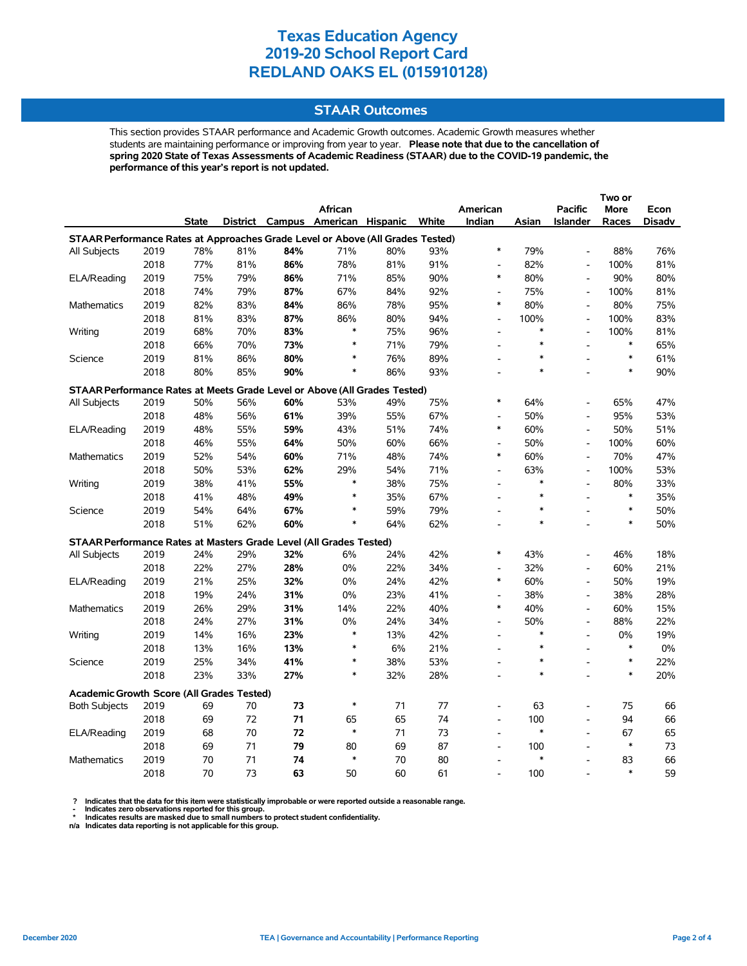### **STAAR Outcomes**

This section provides STAAR performance and Academic Growth outcomes. Academic Growth measures whether students are maintaining performance or improving from year to year. **Please note that due to the cancellation of spring 2020 State of Texas Assessments of Academic Readiness (STAAR) due to the COVID-19 pandemic, the performance of this year's report is not updated.**

|                                                                                |      |              |     |     | <b>African</b>                    |     |       | American                 |        | <b>Pacific</b>               | More   | Econ   |
|--------------------------------------------------------------------------------|------|--------------|-----|-----|-----------------------------------|-----|-------|--------------------------|--------|------------------------------|--------|--------|
|                                                                                |      | <b>State</b> |     |     | District Campus American Hispanic |     | White | Indian                   | Asian  | <b>Islander</b>              | Races  | Disadv |
| STAAR Performance Rates at Approaches Grade Level or Above (All Grades Tested) |      |              |     |     |                                   |     |       |                          |        |                              |        |        |
| All Subjects                                                                   | 2019 | 78%          | 81% | 84% | 71%                               | 80% | 93%   | $\ast$                   | 79%    | $\overline{a}$               | 88%    | 76%    |
|                                                                                | 2018 | 77%          | 81% | 86% | 78%                               | 81% | 91%   | $\overline{\phantom{a}}$ | 82%    | $\qquad \qquad \blacksquare$ | 100%   | 81%    |
| ELA/Reading                                                                    | 2019 | 75%          | 79% | 86% | 71%                               | 85% | 90%   | $\ast$                   | 80%    | $\overline{a}$               | 90%    | 80%    |
|                                                                                | 2018 | 74%          | 79% | 87% | 67%                               | 84% | 92%   | $\blacksquare$           | 75%    | $\frac{1}{2}$                | 100%   | 81%    |
| <b>Mathematics</b>                                                             | 2019 | 82%          | 83% | 84% | 86%                               | 78% | 95%   | $\ast$                   | 80%    | $\qquad \qquad \blacksquare$ | 80%    | 75%    |
|                                                                                | 2018 | 81%          | 83% | 87% | 86%                               | 80% | 94%   | $\overline{a}$           | 100%   | $\frac{1}{2}$                | 100%   | 83%    |
| Writing                                                                        | 2019 | 68%          | 70% | 83% | $\ast$                            | 75% | 96%   | $\overline{a}$           | $\ast$ | $\overline{a}$               | 100%   | 81%    |
|                                                                                | 2018 | 66%          | 70% | 73% | $\ast$                            | 71% | 79%   | $\overline{a}$           | $\ast$ | $\overline{a}$               | $\ast$ | 65%    |
| Science                                                                        | 2019 | 81%          | 86% | 80% | $\ast$                            | 76% | 89%   |                          |        |                              | $\ast$ | 61%    |
|                                                                                | 2018 | 80%          | 85% | 90% | $\ast$                            | 86% | 93%   | L,                       | $\ast$ |                              | $\ast$ | 90%    |
| STAAR Performance Rates at Meets Grade Level or Above (All Grades Tested)      |      |              |     |     |                                   |     |       |                          |        |                              |        |        |
| All Subjects                                                                   | 2019 | 50%          | 56% | 60% | 53%                               | 49% | 75%   | $\ast$                   | 64%    |                              | 65%    | 47%    |
|                                                                                | 2018 | 48%          | 56% | 61% | 39%                               | 55% | 67%   | $\overline{\phantom{a}}$ | 50%    | $\frac{1}{2}$                | 95%    | 53%    |
| ELA/Reading                                                                    | 2019 | 48%          | 55% | 59% | 43%                               | 51% | 74%   | $\ast$                   | 60%    | $\qquad \qquad \blacksquare$ | 50%    | 51%    |
|                                                                                | 2018 | 46%          | 55% | 64% | 50%                               | 60% | 66%   | $\overline{\phantom{a}}$ | 50%    | $\qquad \qquad \blacksquare$ | 100%   | 60%    |
| Mathematics                                                                    | 2019 | 52%          | 54% | 60% | 71%                               | 48% | 74%   | $\ast$                   | 60%    | $\overline{a}$               | 70%    | 47%    |
|                                                                                | 2018 | 50%          | 53% | 62% | 29%                               | 54% | 71%   | $\overline{\phantom{a}}$ | 63%    | $\qquad \qquad \blacksquare$ | 100%   | 53%    |
| Writing                                                                        | 2019 | 38%          | 41% | 55% | $\ast$                            | 38% | 75%   | $\overline{\phantom{a}}$ | *      | $\blacksquare$               | 80%    | 33%    |
|                                                                                | 2018 | 41%          | 48% | 49% | $\ast$                            | 35% | 67%   | $\overline{a}$           | $\ast$ | L,                           | $\ast$ | 35%    |
| Science                                                                        | 2019 | 54%          | 64% | 67% | $\ast$                            | 59% | 79%   | $\overline{a}$           | $\ast$ | $\overline{a}$               | $\ast$ | 50%    |
|                                                                                | 2018 | 51%          | 62% | 60% | $\ast$                            | 64% | 62%   | $\overline{a}$           |        |                              | $\ast$ | 50%    |
| STAAR Performance Rates at Masters Grade Level (All Grades Tested)             |      |              |     |     |                                   |     |       |                          |        |                              |        |        |
| All Subjects                                                                   | 2019 | 24%          | 29% | 32% | 6%                                | 24% | 42%   | $\ast$                   | 43%    | $\overline{\phantom{a}}$     | 46%    | 18%    |
|                                                                                | 2018 | 22%          | 27% | 28% | 0%                                | 22% | 34%   | $\overline{\phantom{a}}$ | 32%    | L,                           | 60%    | 21%    |
| ELA/Reading                                                                    | 2019 | 21%          | 25% | 32% | 0%                                | 24% | 42%   | $\ast$                   | 60%    | $\overline{\phantom{a}}$     | 50%    | 19%    |
|                                                                                | 2018 | 19%          | 24% | 31% | 0%                                | 23% | 41%   | $\overline{\phantom{a}}$ | 38%    | $\overline{\phantom{a}}$     | 38%    | 28%    |
| Mathematics                                                                    | 2019 | 26%          | 29% | 31% | 14%                               | 22% | 40%   | $\ast$                   | 40%    | L,                           | 60%    | 15%    |
|                                                                                | 2018 | 24%          | 27% | 31% | 0%                                | 24% | 34%   | $\overline{\phantom{a}}$ | 50%    | L,                           | 88%    | 22%    |
| Writing                                                                        | 2019 | 14%          | 16% | 23% | $\ast$                            | 13% | 42%   | $\overline{\phantom{a}}$ | $\ast$ | $\overline{\phantom{a}}$     | 0%     | 19%    |
|                                                                                | 2018 | 13%          | 16% | 13% | $\ast$                            | 6%  | 21%   | $\overline{\phantom{a}}$ | $\ast$ | $\overline{\phantom{a}}$     | $\ast$ | 0%     |
| Science                                                                        | 2019 | 25%          | 34% | 41% | $\ast$                            | 38% | 53%   | $\overline{\phantom{a}}$ | $\ast$ | L,                           | $\ast$ | 22%    |
|                                                                                | 2018 | 23%          | 33% | 27% | $\ast$                            | 32% | 28%   | L.                       | $\ast$ | $\overline{a}$               | $\ast$ | 20%    |
| <b>Academic Growth Score (All Grades Tested)</b>                               |      |              |     |     |                                   |     |       |                          |        |                              |        |        |
| <b>Both Subjects</b>                                                           | 2019 | 69           | 70  | 73  | $\ast$                            | 71  | 77    | $\overline{a}$           | 63     | $\overline{a}$               | 75     | 66     |
|                                                                                | 2018 | 69           | 72  | 71  | 65                                | 65  | 74    | $\overline{\phantom{a}}$ | 100    | $\overline{a}$               | 94     | 66     |
| ELA/Reading                                                                    | 2019 | 68           | 70  | 72  | $\ast$                            | 71  | 73    | $\overline{\phantom{a}}$ | $\ast$ | $\overline{a}$               | 67     | 65     |
|                                                                                | 2018 | 69           | 71  | 79  | 80                                | 69  | 87    | $\overline{\phantom{a}}$ | 100    | L,                           | $\ast$ | 73     |
| <b>Mathematics</b>                                                             | 2019 | 70           | 71  | 74  | $\ast$                            | 70  | 80    | L,                       | $\ast$ | $\overline{a}$               | 83     | 66     |
|                                                                                | 2018 | 70           | 73  | 63  | 50                                | 60  | 61    |                          | 100    |                              | $\ast$ | 59     |

? Indicates that the data for this item were statistically improbable or were reported outside a reasonable range.<br>- Indicates zero observations reported for this group.<br>\* Indicates results are masked due to small numbers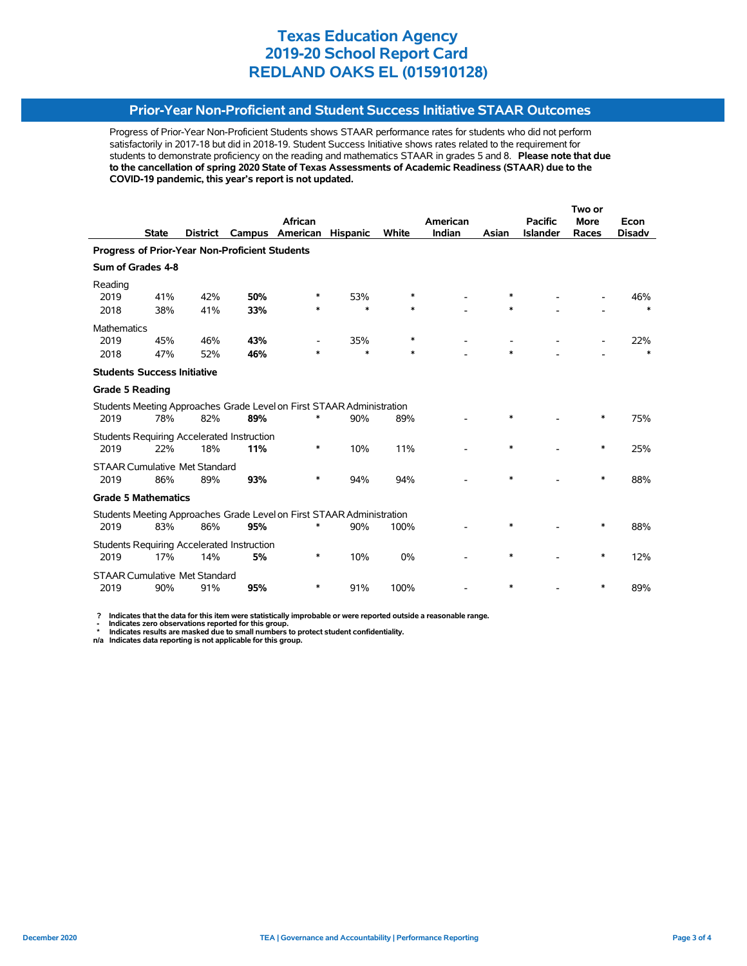### **Prior-Year Non-Proficient and Student Success Initiative STAAR Outcomes**

Progress of Prior-Year Non-Proficient Students shows STAAR performance rates for students who did not perform satisfactorily in 2017-18 but did in 2018-19. Student Success Initiative shows rates related to the requirement for students to demonstrate proficiency on the reading and mathematics STAAR in grades 5 and 8. **Please note that due to the cancellation of spring 2020 State of Texas Assessments of Academic Readiness (STAAR) due to the COVID-19 pandemic, this year's report is not updated.**

|                                                                       |              |                 |                                                   |                                                                       |                 |        |          | Two or |                 |             |               |  |
|-----------------------------------------------------------------------|--------------|-----------------|---------------------------------------------------|-----------------------------------------------------------------------|-----------------|--------|----------|--------|-----------------|-------------|---------------|--|
|                                                                       |              |                 |                                                   | <b>African</b>                                                        |                 |        | American |        | <b>Pacific</b>  | <b>More</b> | Econ          |  |
|                                                                       | <b>State</b> | <b>District</b> | Campus                                            | American                                                              | <b>Hispanic</b> | White  | Indian   | Asian  | <b>Islander</b> | Races       | <b>Disady</b> |  |
| Progress of Prior-Year Non-Proficient Students                        |              |                 |                                                   |                                                                       |                 |        |          |        |                 |             |               |  |
| Sum of Grades 4-8                                                     |              |                 |                                                   |                                                                       |                 |        |          |        |                 |             |               |  |
| Reading                                                               |              |                 |                                                   |                                                                       |                 |        |          |        |                 |             |               |  |
| 2019                                                                  | 41%          | 42%             | 50%                                               | *                                                                     | 53%             | $\ast$ |          | *      |                 |             | 46%           |  |
| 2018                                                                  | 38%          | 41%             | 33%                                               | $\ast$                                                                | $\ast$          | $\ast$ |          | $\ast$ |                 |             | $\ast$        |  |
| <b>Mathematics</b>                                                    |              |                 |                                                   |                                                                       |                 |        |          |        |                 |             |               |  |
| 2019                                                                  | 45%          | 46%             | 43%                                               |                                                                       | 35%             | $\ast$ |          |        |                 |             | 22%           |  |
| 2018                                                                  | 47%          | 52%             | 46%                                               |                                                                       | $\ast$          | $\ast$ |          | $\ast$ |                 |             |               |  |
| <b>Students Success Initiative</b>                                    |              |                 |                                                   |                                                                       |                 |        |          |        |                 |             |               |  |
| <b>Grade 5 Reading</b>                                                |              |                 |                                                   |                                                                       |                 |        |          |        |                 |             |               |  |
|                                                                       |              |                 |                                                   | Students Meeting Approaches Grade Level on First STAAR Administration |                 |        |          |        |                 |             |               |  |
| 2019                                                                  | 78%          | 82%             | 89%                                               | *                                                                     | 90%             | 89%    |          |        |                 | *           | 75%           |  |
|                                                                       |              |                 | <b>Students Requiring Accelerated Instruction</b> |                                                                       |                 |        |          |        |                 |             |               |  |
| 2019                                                                  | 22%          | 18%             | 11%                                               | *                                                                     | 10%             | 11%    |          | $\ast$ |                 | *           | 25%           |  |
| <b>STAAR Cumulative Met Standard</b>                                  |              |                 |                                                   |                                                                       |                 |        |          |        |                 |             |               |  |
| 2019                                                                  | 86%          | 89%             | 93%                                               | *                                                                     | 94%             | 94%    |          | $\ast$ |                 | $\ast$      | 88%           |  |
| <b>Grade 5 Mathematics</b>                                            |              |                 |                                                   |                                                                       |                 |        |          |        |                 |             |               |  |
| Students Meeting Approaches Grade Level on First STAAR Administration |              |                 |                                                   |                                                                       |                 |        |          |        |                 |             |               |  |
| 2019                                                                  | 83%          | 86%             | 95%                                               |                                                                       | 90%             | 100%   |          | ∗      |                 | ∗           | 88%           |  |
|                                                                       |              |                 | Students Requiring Accelerated Instruction        |                                                                       |                 |        |          |        |                 |             |               |  |
| 2019                                                                  | 17%          | 14%             | 5%                                                | ∗                                                                     | 10%             | 0%     |          | $\ast$ |                 | ∗           | 12%           |  |
| <b>STAAR Cumulative Met Standard</b>                                  |              |                 |                                                   |                                                                       |                 |        |          |        |                 |             |               |  |
| 2019                                                                  | 90%          | 91%             | 95%                                               | ∗                                                                     | 91%             | 100%   |          | *      |                 | *           | 89%           |  |

 **? Indicates that the data for this item were statistically improbable or were reported outside a reasonable range.**

 **- Indicates zero observations reported for this group. \* Indicates results are masked due to small numbers to protect student confidentiality.**

**n/a Indicates data reporting is not applicable for this group.**